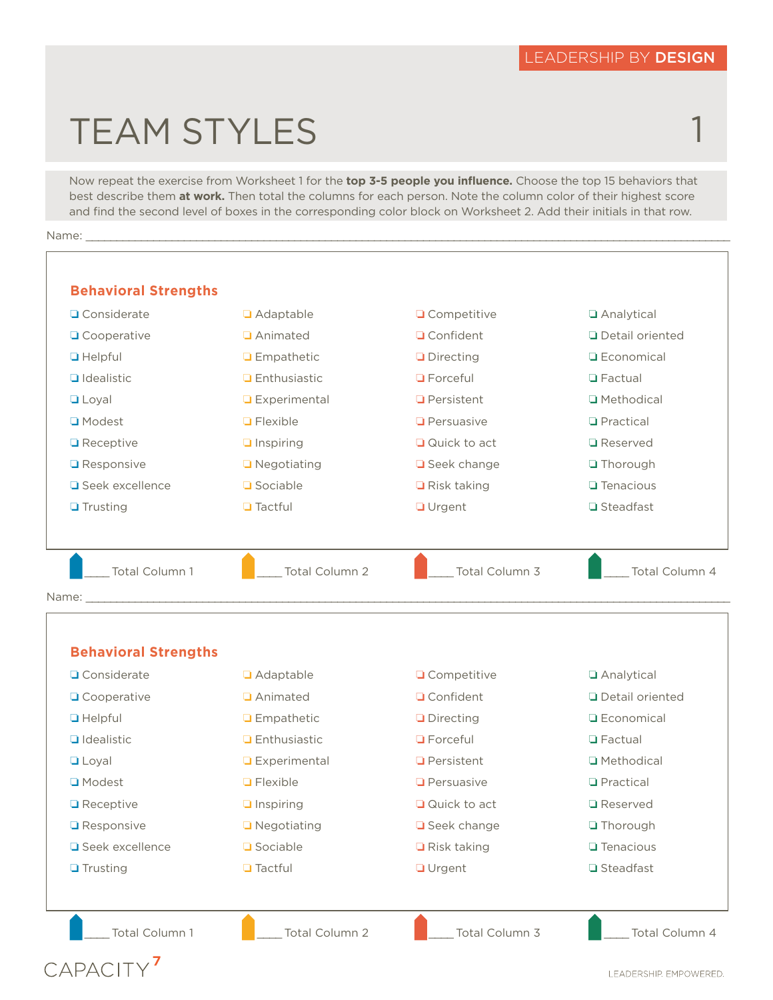1

## TEAM STYLES

Now repeat the exercise from Worksheet 1 for the **top 3-5 people you influence.** Choose the top 15 behaviors that best describe them **at work.** Then total the columns for each person. Note the column color of their highest score and find the second level of boxes in the corresponding color block on Worksheet 2. Add their initials in that row.

Name: \_\_\_\_\_\_\_\_\_\_\_\_\_\_\_\_\_\_\_\_\_\_\_\_\_\_\_\_\_\_\_\_\_\_\_\_\_\_\_\_\_\_\_\_\_\_\_\_\_\_\_\_\_\_\_\_\_\_\_\_\_\_\_\_\_\_\_\_\_\_\_\_\_\_\_\_\_\_\_\_\_\_\_\_\_\_\_\_\_\_\_\_\_\_\_\_\_\_\_\_\_\_\_\_\_

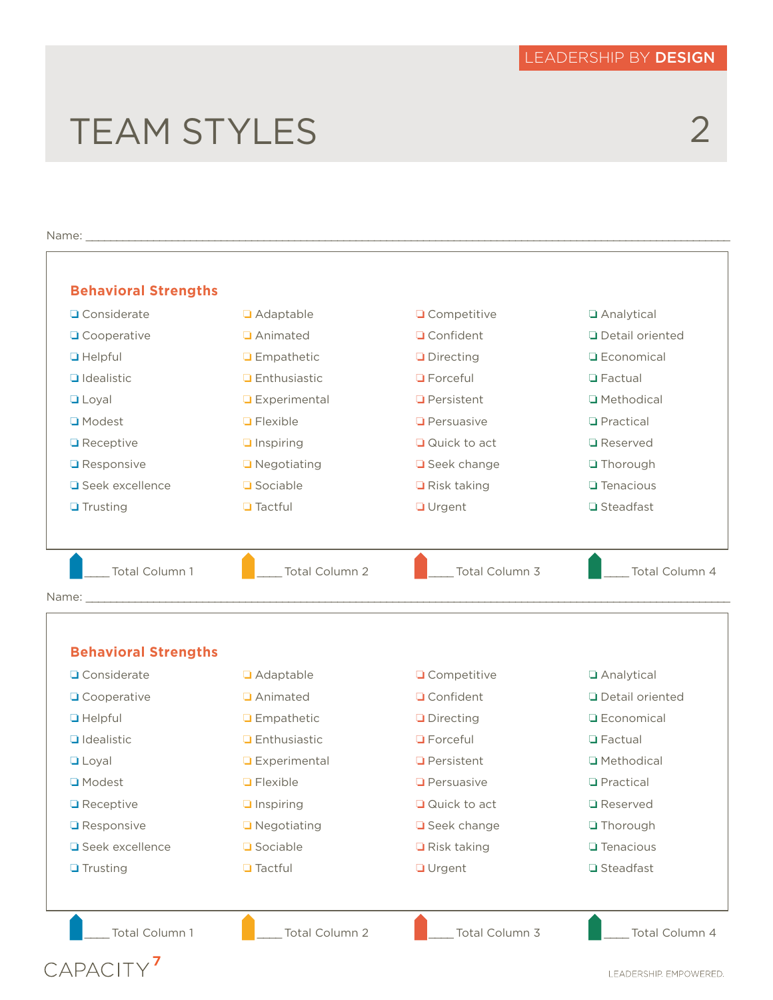## TEAM STYLES

## 2

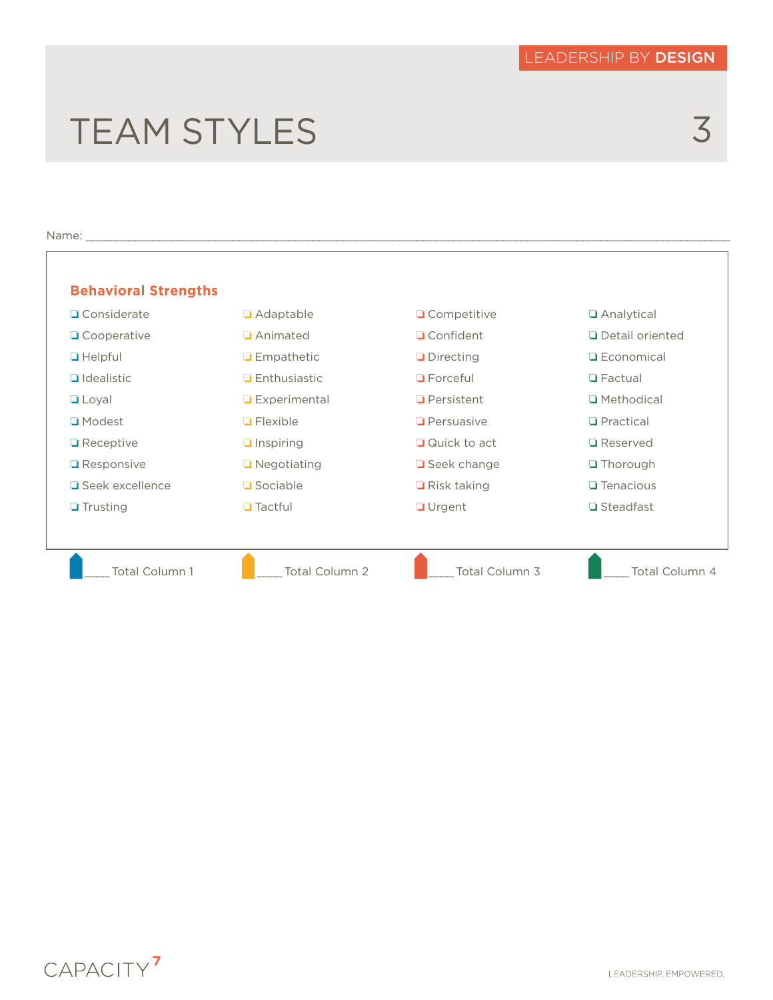## TEAM STYLES



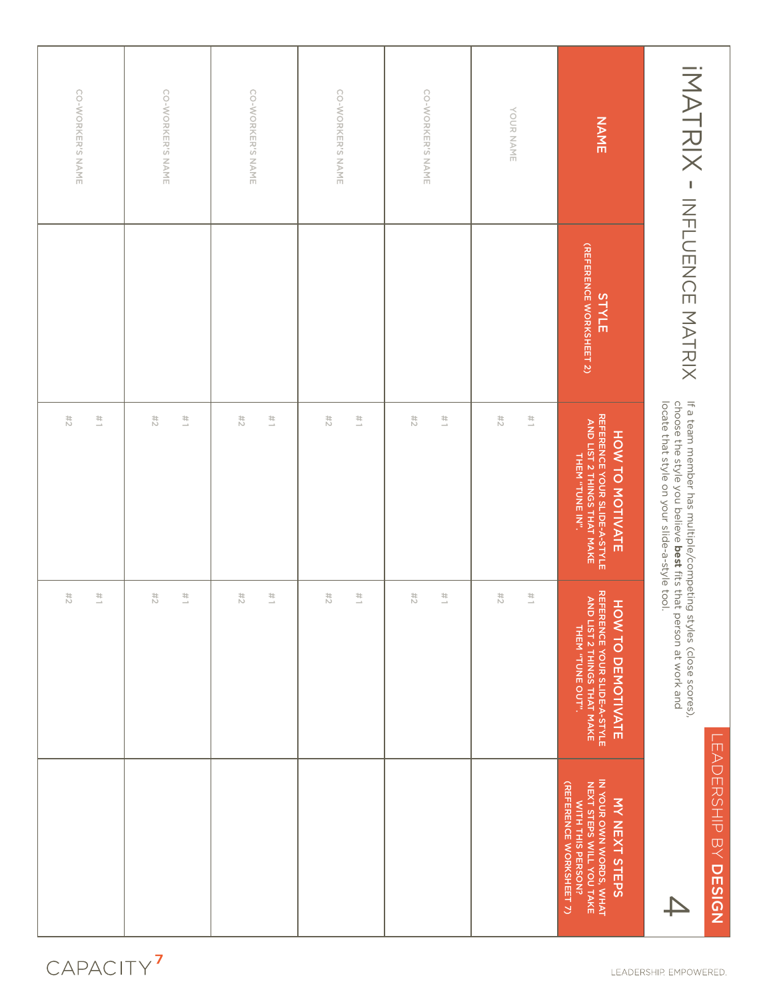| IMAHAIX - INTUDING NATAIX               |                                                                                                               |                                                                                                             |                                                                                                                                                                                  |
|-----------------------------------------|---------------------------------------------------------------------------------------------------------------|-------------------------------------------------------------------------------------------------------------|----------------------------------------------------------------------------------------------------------------------------------------------------------------------------------|
| (REFERENCE WORKSHEET 2)<br><b>STYLE</b> | REFERENCE YOUR SLIDE-A-STYLE<br>AND LIST 2 THINGS THAT MAKE<br>AND LIST 2 THINGS THAT MAKE<br>HOW TO MOTIVATE | REFERENCE YOUR SLIDE-A-STYLE<br>AND LIST 2 THINGS THAT MAKE<br><b>HOW TO DEMOTIVATE</b><br>THEM "TUNE OUT". | IN YOUR OWN WORDS, WHAT<br>NEXT STEPS WILL YOU TAKE<br>(REFERENCE WORKSHEET 7)<br><b>MY NEXT STEPS</b><br>WITH THIS PERSON?                                                      |
|                                         | $\frac{11}{2}$                                                                                                | $\frac{1}{2}$                                                                                               |                                                                                                                                                                                  |
|                                         | #2                                                                                                            | 11/2                                                                                                        |                                                                                                                                                                                  |
|                                         | $\frac{11}{2}$                                                                                                | $\frac{1}{2}$                                                                                               |                                                                                                                                                                                  |
|                                         | #2                                                                                                            | #2                                                                                                          |                                                                                                                                                                                  |
|                                         | $\frac{11}{2}$                                                                                                | $\frac{1}{2}$                                                                                               |                                                                                                                                                                                  |
|                                         | #2                                                                                                            | 74                                                                                                          |                                                                                                                                                                                  |
|                                         | $\frac{11}{2}$                                                                                                | $\frac{1}{2}$                                                                                               |                                                                                                                                                                                  |
|                                         | #2                                                                                                            | 74                                                                                                          |                                                                                                                                                                                  |
|                                         | $\frac{1}{2}$                                                                                                 | $\frac{1}{2}$                                                                                               |                                                                                                                                                                                  |
|                                         | #2                                                                                                            | #2                                                                                                          |                                                                                                                                                                                  |
|                                         | $\frac{1}{2}$                                                                                                 | $\frac{1}{2}$                                                                                               |                                                                                                                                                                                  |
|                                         | $\stackrel{\scriptscriptstyle{4}}{5}$                                                                         | 74                                                                                                          |                                                                                                                                                                                  |
|                                         |                                                                                                               |                                                                                                             | If a team member has multiple/competing styles (close scores),<br>choose the style you believe best fits that person at work and<br>locate that style on your slide-a-style tool |